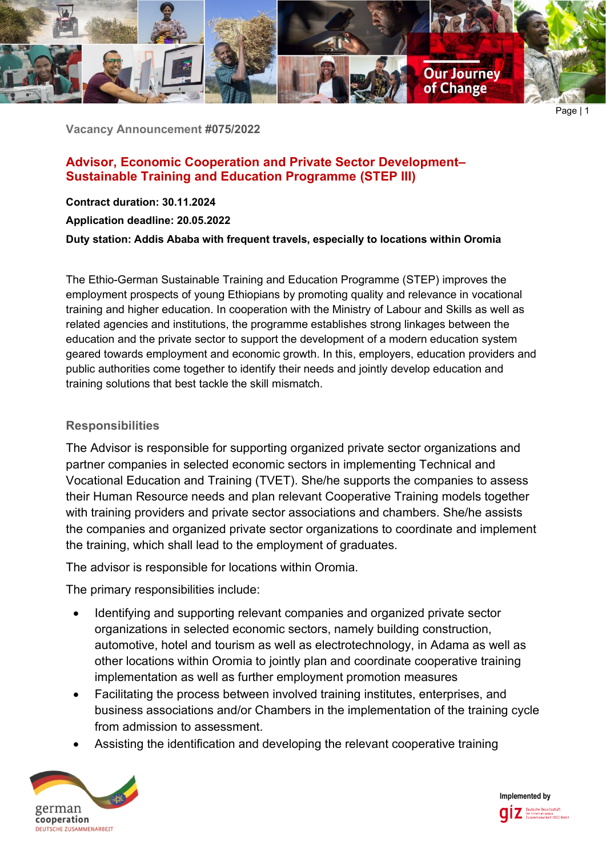

**Vacancy Announcement #075/2022**

# **Advisor, Economic Cooperation and Private Sector Development– Sustainable Training and Education Programme (STEP III)**

**Contract duration: 30.11.2024**

**Application deadline: 20.05.2022**

**Duty station: Addis Ababa with frequent travels, especially to locations within Oromia** 

The Ethio-German Sustainable Training and Education Programme (STEP) improves the employment prospects of young Ethiopians by promoting quality and relevance in vocational training and higher education. In cooperation with the Ministry of Labour and Skills as well as related agencies and institutions, the programme establishes strong linkages between the education and the private sector to support the development of a modern education system geared towards employment and economic growth. In this, employers, education providers and public authorities come together to identify their needs and jointly develop education and training solutions that best tackle the skill mismatch.

## **Responsibilities**

The Advisor is responsible for supporting organized private sector organizations and partner companies in selected economic sectors in implementing Technical and Vocational Education and Training (TVET). She/he supports the companies to assess their Human Resource needs and plan relevant Cooperative Training models together with training providers and private sector associations and chambers. She/he assists the companies and organized private sector organizations to coordinate and implement the training, which shall lead to the employment of graduates.

The advisor is responsible for locations within Oromia.

The primary responsibilities include:

- Identifying and supporting relevant companies and organized private sector organizations in selected economic sectors, namely building construction, automotive, hotel and tourism as well as electrotechnology, in Adama as well as other locations within Oromia to jointly plan and coordinate cooperative training implementation as well as further employment promotion measures
- Facilitating the process between involved training institutes, enterprises, and business associations and/or Chambers in the implementation of the training cycle from admission to assessment.
- Assisting the identification and developing the relevant cooperative training



**Implemented by**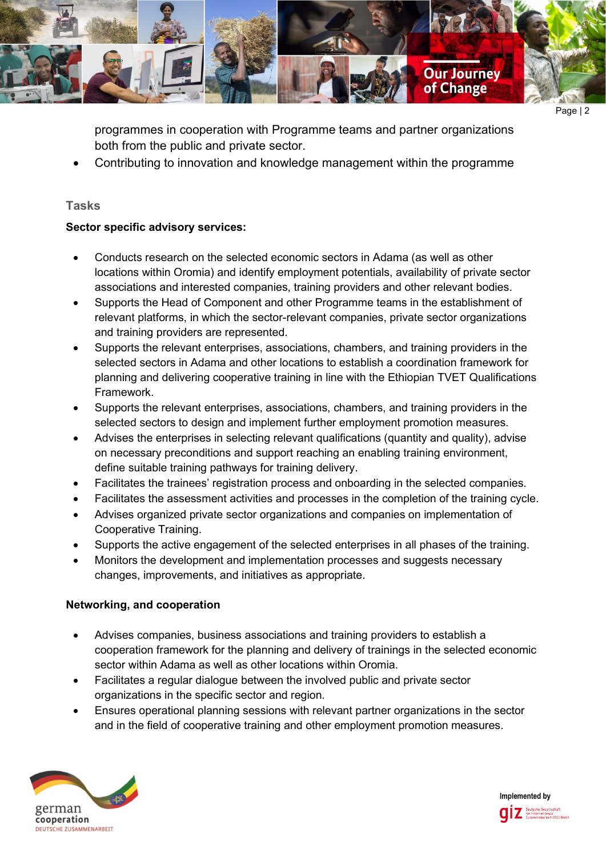

Page | 2

programmes in cooperation with Programme teams and partner organizations both from the public and private sector.

• Contributing to innovation and knowledge management within the programme

## **Tasks**

### **Sector specific advisory services:**

- Conducts research on the selected economic sectors in Adama (as well as other locations within Oromia) and identify employment potentials, availability of private sector associations and interested companies, training providers and other relevant bodies.
- Supports the Head of Component and other Programme teams in the establishment of relevant platforms, in which the sector-relevant companies, private sector organizations and training providers are represented.
- Supports the relevant enterprises, associations, chambers, and training providers in the selected sectors in Adama and other locations to establish a coordination framework for planning and delivering cooperative training in line with the Ethiopian TVET Qualifications Framework.
- Supports the relevant enterprises, associations, chambers, and training providers in the selected sectors to design and implement further employment promotion measures.
- Advises the enterprises in selecting relevant qualifications (quantity and quality), advise on necessary preconditions and support reaching an enabling training environment, define suitable training pathways for training delivery.
- Facilitates the trainees' registration process and onboarding in the selected companies.
- Facilitates the assessment activities and processes in the completion of the training cycle.
- Advises organized private sector organizations and companies on implementation of Cooperative Training.
- Supports the active engagement of the selected enterprises in all phases of the training.
- Monitors the development and implementation processes and suggests necessary changes, improvements, and initiatives as appropriate.

### **Networking, and cooperation**

- Advises companies, business associations and training providers to establish a cooperation framework for the planning and delivery of trainings in the selected economic sector within Adama as well as other locations within Oromia.
- Facilitates a regular dialogue between the involved public and private sector organizations in the specific sector and region.
- Ensures operational planning sessions with relevant partner organizations in the sector and in the field of cooperative training and other employment promotion measures.



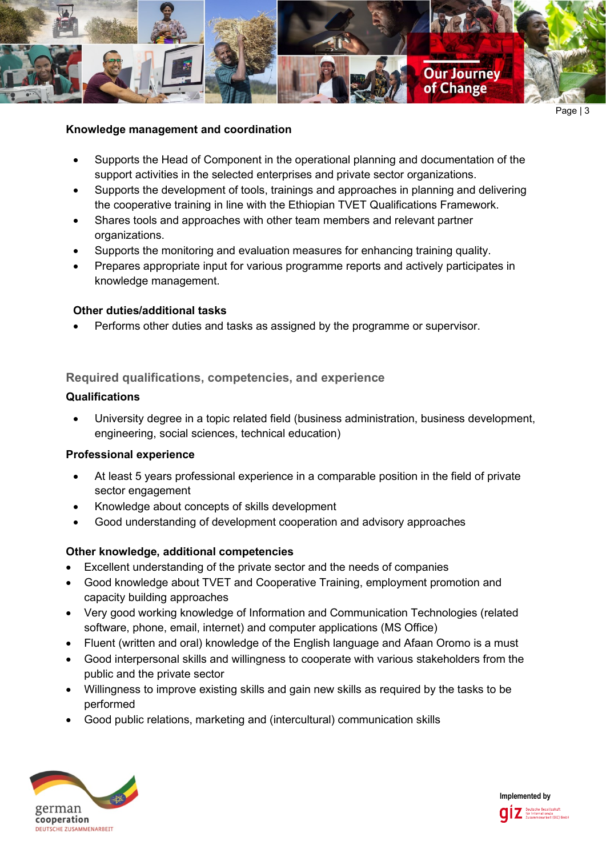

#### **Knowledge management and coordination**

- Supports the Head of Component in the operational planning and documentation of the support activities in the selected enterprises and private sector organizations.
- Supports the development of tools, trainings and approaches in planning and delivering the cooperative training in line with the Ethiopian TVET Qualifications Framework.
- Shares tools and approaches with other team members and relevant partner organizations.
- Supports the monitoring and evaluation measures for enhancing training quality.
- Prepares appropriate input for various programme reports and actively participates in knowledge management.

#### **Other duties/additional tasks**

• Performs other duties and tasks as assigned by the programme or supervisor.

### **Required qualifications, competencies, and experience**

#### **Qualifications**

• University degree in a topic related field (business administration, business development, engineering, social sciences, technical education)

#### **Professional experience**

- At least 5 years professional experience in a comparable position in the field of private sector engagement
- Knowledge about concepts of skills development
- Good understanding of development cooperation and advisory approaches

### **Other knowledge, additional competencies**

- Excellent understanding of the private sector and the needs of companies
- Good knowledge about TVET and Cooperative Training, employment promotion and capacity building approaches
- Very good working knowledge of Information and Communication Technologies (related software, phone, email, internet) and computer applications (MS Office)
- Fluent (written and oral) knowledge of the English language and Afaan Oromo is a must
- Good interpersonal skills and willingness to cooperate with various stakeholders from the public and the private sector
- Willingness to improve existing skills and gain new skills as required by the tasks to be performed
- Good public relations, marketing and (intercultural) communication skills